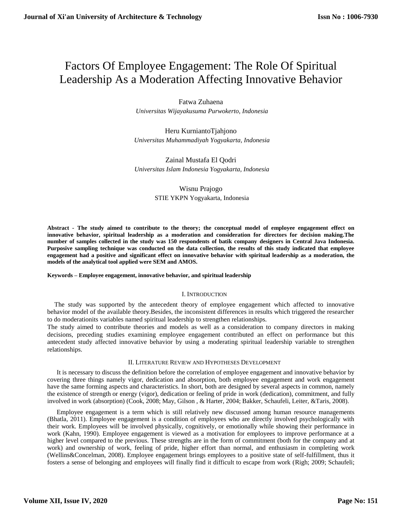# Factors Of Employee Engagement: The Role Of Spiritual Leadership As a Moderation Affecting Innovative Behavior

Fatwa Zuhaena  *Universitas Wijayakusuma Purwokerto, Indonesia*

Heru KurniantoTjahjono  *Universitas Muhammadiyah Yogyakarta, Indonesia*

Zainal Mustafa El Qodri  *Universitas Islam Indonesia Yogyakarta, Indonesia*

> Wisnu Prajogo STIE YKPN Yogyakarta, Indonesia

**Abstract - The study aimed to contribute to the theory; the conceptual model of employee engagement effect on innovative behavior, spiritual leadership as a moderation and consideration for directors for decision making.The number of samples collected in the study was 150 respondents of batik company designers in Central Java Indonesia. Purposive sampling technique was conducted on the data collection, the results of this study indicated that employee engagement had a positive and significant effect on innovative behavior with spiritual leadership as a moderation, the models of the analytical tool applied were SEM and AMOS.**

#### **Keywords – Employee engagement, innovative behavior, and spiritual leadership**

#### I. INTRODUCTION

The study was supported by the antecedent theory of employee engagement which affected to innovative behavior model of the available theory.Besides, the inconsistent differences in results which triggered the researcher to do moderationits variables named spiritual leadership to strengthen relationships.

The study aimed to contribute theories and models as well as a consideration to company directors in making decisions, preceding studies examining employee engagement contributed an effect on performance but this antecedent study affected innovative behavior by using a moderating spiritual leadership variable to strengthen relationships.

#### II. LITERATURE REVIEW AND HYPOTHESES DEVELOPMENT

It is necessary to discuss the definition before the correlation of employee engagement and innovative behavior by covering three things namely vigor, dedication and absorption, both employee engagement and work engagement have the same forming aspects and characteristics. In short, both are designed by several aspects in common, namely the existence of strength or energy (vigor), dedication or feeling of pride in work (dedication), commitment, and fully involved in work (absorption) (Cook, 2008; May, Gilson , & Harter, 2004; Bakker, Schaufeli, Leiter, &Taris, 2008).

Employee engagement is a term which is still relatively new discussed among human resource managements (Bhatla, 2011). Employee engagement is a condition of employees who are directly involved psychologically with their work. Employees will be involved physically, cognitively, or emotionally while showing their performance in work (Kahn, 1990). Employee engagement is viewed as a motivation for employees to improve performance at a higher level compared to the previous. These strengths are in the form of commitment (both for the company and at work) and ownership of work, feeling of pride, higher effort than normal, and enthusiasm in completing work (Wellins&Concelman, 2008). Employee engagement brings employees to a positive state of self-fulfillment, thus it fosters a sense of belonging and employees will finally find it difficult to escape from work (Righ; 2009; Schaufeli;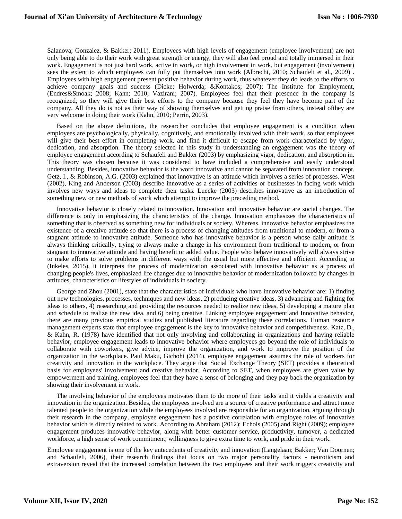Salanova; Gonzalez, & Bakker; 2011). Employees with high levels of engagement (employee involvement) are not only being able to do their work with great strength or energy, they will also feel proud and totally immersed in their work. Engagement is not just hard work, active in work, or high involvement in work, but engagement (involvement) sees the extent to which employees can fully put themselves into work (Albrecht, 2010; Schaufeli et al., 2009) . Employees with high engagement present positive behavior during work, thus whatever they do leads to the efforts to achieve company goals and success (Dicke; Holwerda; &Kontakos; 2007); The Institute for Employment, (Endres&Smoak; 2008; Kahn; 2010; Vazirani; 2007). Employees feel that their presence in the company is recognized, so they will give their best efforts to the company because they feel they have become part of the company. All they do is not as their way of showing themselves and getting praise from others, instead ofthey are very welcome in doing their work (Kahn, 2010; Perrin, 2003).

Based on the above definitions, the researcher concludes that employee engagement is a condition when employees are psychologically, physically, cognitively, and emotionally involved with their work, so that employees will give their best effort in completing work, and find it difficult to escape from work characterized by vigor, dedication, and absorption. The theory selected in this study in understanding an engagement was the theory of employee engagement according to Schaufeli and Bakker (2003) by emphasizing vigor, dedication, and absorption in. This theory was chosen because it was considered to have included a comprehensive and easily understood understanding. Besides, innovative behavior is the word innovative and cannot be separated from innovation concept. Getz, I., & Robinson, A.G. (2003) explained that innovative is an attitude which involves a series of processes. West (2002), King and Anderson (2003) describe innovative as a series of activities or businesses in facing work which involves new ways and ideas to complete their tasks. Luecke (2003) describes innovative as an introduction of something new or new methods of work which attempt to improve the preceding method.

Innovative behavior is closely related to innovation. Innovation and innovative behavior are social changes. The difference is only in emphasizing the characteristics of the change. Innovation emphasizes the characteristics of something that is observed as something new for individuals or society. Whereas, innovative behavior emphasizes the existence of a creative attitude so that there is a process of changing attitudes from traditional to modern, or from a stagnant attitude to innovative attitude. Someone who has innovative behavior is a person whose daily attitude is always thinking critically, trying to always make a change in his environment from traditional to modern, or from stagnant to innovative attitude and having benefit or added value. People who behave innovatively will always strive to make efforts to solve problems in different ways with the usual but more effective and efficient. According to (Inkeles, 2015), it interprets the process of modernization associated with innovative behavior as a process of changing people's lives, emphasized life changes due to innovative behavior of modernization followed by changes in attitudes, characteristics or lifestyles of individuals in society.

George and Zhou (2001), state that the characteristics of individuals who have innovative behavior are: 1) finding out new technologies, processes, techniques and new ideas, 2) producing creative ideas, 3) advancing and fighting for ideas to others, 4) researching and providing the resources needed to realize new ideas, 5) developing a mature plan and schedule to realize the new idea, and 6) being creative. Linking employee engagement and Innovative behavior, there are many previous empirical studies and published literature regarding these correlations. Human resource management experts state that employee engagement is the key to innovative behavior and competitiveness. Katz, D., & Kahn, R. (1978) have identified that not only involving and collaborating in organizations and having reliable behavior, employee engagement leads to innovative behavior where employees go beyond the role of individuals to collaborate with coworkers, give advice, improve the organization, and work to improve the position of the organization in the workplace. Paul Maku, Gichohi (2014), employee engagement assumes the role of workers for creativity and innovation in the workplace. They argue that Social Exchange Theory (SET) provides a theoretical basis for employees' involvement and creative behavior. According to SET, when employees are given value by empowerment and training, employees feel that they have a sense of belonging and they pay back the organization by showing their involvement in work.

The involving behavior of the employees motivates them to do more of their tasks and it yields a creativity and innovation in the organization. Besides, the employees involved are a source of creative performance and attract more talented people to the organization while the employees involved are responsible for an organization, arguing through their research in the company, employee engagement has a positive correlation with employee roles of innovative behavior which is directly related to work. According to Abraham (2012); Echols (2005) and Right (2009); employee engagement produces innovative behavior, along with better customer service, productivity, turnover, a dedicated workforce, a high sense of work commitment, willingness to give extra time to work, and pride in their work.

Employee engagement is one of the key antecedents of creativity and innovation (Langelaan; Bakker; Van Doornen; and Schaufeli, 2006), their research findings that focus on two major personality factors - neuroticism and extraversion reveal that the increased correlation between the two employees and their work triggers creativity and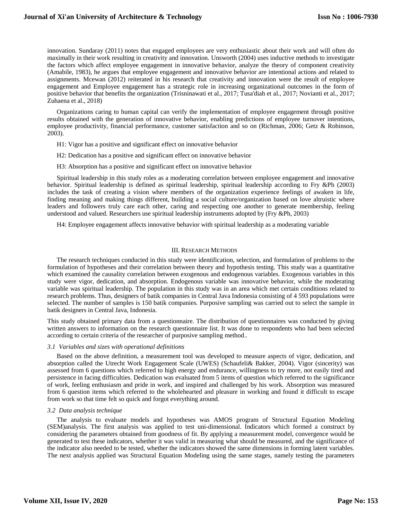innovation. Sundaray (2011) notes that engaged employees are very enthusiastic about their work and will often do maximally in their work resulting in creativity and innovation. Unsworth (2004) uses inductive methods to investigate the factors which affect employee engagement in innovative behavior, analyze the theory of component creativity (Amabile, 1983), he argues that employee engagement and innovative behavior are intentional actions and related to assignments. Mcewan (2012) reiterated in his research that creativity and innovation were the result of employee engagement and Employee engagement has a strategic role in increasing organizational outcomes in the form of positive behavior that benefits the organization (Trisninawati et al., 2017; Tusa'diah et al., 2017; Novianti et al., 2017; Zuhaena et al., 2018)

Organizations caring to human capital can verify the implementation of employee engagement through positive results obtained with the generation of innovative behavior, enabling predictions of employee turnover intentions, employee productivity, financial performance, customer satisfaction and so on (Richman, 2006; Getz & Robinson, 2003).

- H1: Vigor has a positive and significant effect on innovative behavior
- H2: Dedication has a positive and significant effect on innovative behavior
- H3: Absorption has a positive and significant effect on innovative behavior

Spiritual leadership in this study roles as a moderating correlation between employee engagement and innovative behavior. Spiritual leadership is defined as spiritual leadership, spiritual leadership according to Fry &Ph (2003) includes the task of creating a vision where members of the organization experience feelings of awaken in life, finding meaning and making things different, building a social culture/organization based on love altruistic where leaders and followers truly care each other, caring and respecting one another to generate membership, feeling understood and valued. Researchers use spiritual leadership instruments adopted by (Fry &Ph, 2003)

H4: Employee engagement affects innovative behavior with spiritual leadership as a moderating variable

# III. RESEARCH METHODS

The research techniques conducted in this study were identification, selection, and formulation of problems to the formulation of hypotheses and their correlation between theory and hypothesis testing. This study was a quantitative which examined the causality correlation between exogenous and endogenous variables. Exogenous variables in this study were vigor, dedication, and absorption. Endogenous variable was innovative behavior, while the moderating variable was spiritual leadership. The population in this study was in an area which met certain conditions related to research problems. Thus, designers of batik companies in Central Java Indonesia consisting of 4 593 populations were selected. The number of samples is 150 batik companies. Purposive sampling was carried out to select the sample in batik designers in Central Java, Indonesia.

This study obtained primary data from a questionnaire. The distribution of questionnaires was conducted by giving written answers to information on the research questionnaire list. It was done to respondents who had been selected according to certain criteria of the researcher of purposive sampling method..

#### *3.1 Variables and sizes with operational definitions*

Based on the above definition, a measurement tool was developed to measure aspects of vigor, dedication, and absorption called the Utrecht Work Engagement Scale (UWES) (Schaufeli& Bakker, 2004). Vigor (sincerity) was assessed from 6 questions which referred to high energy and endurance, willingness to try more, not easily tired and persistence in facing difficulties. Dedication was evaluated from 5 items of question which referred to the significance of work, feeling enthusiasm and pride in work, and inspired and challenged by his work. Absorption was measured from 6 question items which referred to the wholehearted and pleasure in working and found it difficult to escape from work so that time felt so quick and forgot everything around.

#### *3.2 Data analysis technique*

The analysis to evaluate models and hypotheses was AMOS program of Structural Equation Modeling (SEM)analysis. The first analysis was applied to test uni-dimensional. Indicators which formed a construct by considering the parameters obtained from goodness of fit. By applying a measurement model, convergence would be generated to test these indicators, whether it was valid in measuring what should be measured, and the significance of the indicator also needed to be tested, whether the indicators showed the same dimensions in forming latent variables. The next analysis applied was Structural Equation Modeling using the same stages, namely testing the parameters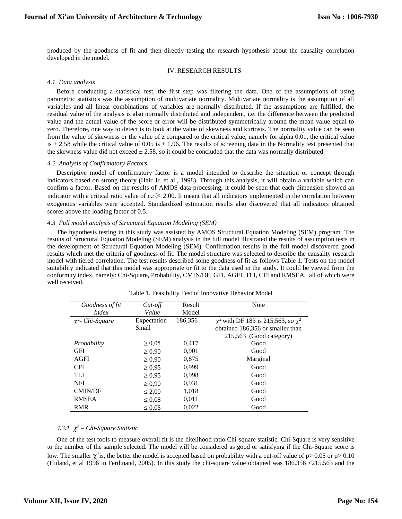produced by the goodness of fit and then directly testing the research hypothesis about the causality correlation developed in the model.

# IV. RESEARCH RESULTS

# *4.1 Data analysis*

Before conducting a statistical test, the first step was filtering the data. One of the assumptions of using parametric statistics was the assumption of multivariate normality. Multivariate normality is the assumption of all variables and all linear combinations of variables are normally distributed. If the assumptions are fulfilled, the residual value of the analysis is also normally distributed and independent, i.e. the difference between the predicted value and the actual value of the score or error will be distributed symmetrically around the mean value equal to zero. Therefore, one way to detect is to look at the value of skewness and kurtosis. The normality value can be seen from the value of skewness or the value of z compared to the critical value, namely for alpha 0.01, the critical value is  $\pm$  2.58 while the critical value of 0.05 is  $\pm$  1.96. The results of screening data in the Normality test presented that the skewness value did not exceed  $\pm 2.58$ , so it could be concluded that the data was normally distributed.

#### *4.2 Analysis of Confirmatory Factors*

Descriptive model of confirmatory factor is a model intended to describe the situation or concept through indicators based on strong theory (Hair Jr. et al., 1998). Through this analysis, it will obtain a variable which can confirm a factor. Based on the results of AMOS data processing, it could be seen that each dimension showed an indicator with a critical ratio value of  $c.r \ge 2.00$ . It meant that all indicators implemented in the correlation between exogenous variables were accepted. Standardized estimation results also discovered that all indicators obtained scores above the loading factor of 0.5.

# *4.3 Full model analysis of Structural Equation Modeling (SEM)*

The hypothesis testing in this study was assisted by AMOS Structural Equation Modeling (SEM) program. The results of Structural Equation Modeling (SEM) analysis in the full model illustrated the results of assumption tests in the development of Structural Equation Modeling (SEM). Confirmation results in the full model discovered good results which met the criteria of goodness of fit. The model structure was selected to describe the causality research model with tiered correlation. The test results described some goodness of fit as follows Table 1. Tests on the model suitability indicated that this model was appropriate or fit to the data used in the study. It could be viewed from the conformity index, namely: Chi-Square, Probability, CMIN/DF, GFI, AGFI, TLI, CFI and RMSEA, all of which were well received.

| Goodness of fit       | $Cut$ -off  | Result  | <b>Note</b>                                  |  |
|-----------------------|-------------|---------|----------------------------------------------|--|
| <i>Index</i>          | Value       | Model   |                                              |  |
| $\chi^2$ - Chi-Square | Expectation | 186,356 | $\chi^2$ with DF 183 is 215,563, so $\chi^2$ |  |
|                       | Small       |         | obtained 186,356 or smaller than             |  |
|                       |             |         | 215,563 (Good category)                      |  |
| Probability           | $\geq 0.05$ | 0,417   | Good                                         |  |
| <b>GFI</b>            | $\geq 0.90$ | 0,901   | Good                                         |  |
| AGFI                  | $\geq 0.90$ | 0,875   | Marginal                                     |  |
| <b>CFI</b>            | $\geq 0.95$ | 0,999   | Good                                         |  |
| TLI                   | $\geq 0.95$ | 0,998   | Good                                         |  |
| <b>NFI</b>            | $\geq 0.90$ | 0.931   | Good                                         |  |
| <b>CMIN/DF</b>        | $\leq 2.00$ | 1,018   | Good                                         |  |
| <b>RMSEA</b>          | $\leq 0.08$ | 0,011   | Good                                         |  |
| <b>RMR</b>            | $\leq 0.05$ | 0.022   | Good                                         |  |

#### Table 1. Feasibility Test of Innovative Behavior Model

# *4.3.1 <sup>2</sup> – Chi-Square Statistic*

One of the test tools to measure overall fit is the likelihood ratio Chi-square statistic. Chi-Square is very sensitive to the number of the sample selected. The model will be considered as good or satisfying if the Chi-Square score is low. The smaller  $\chi^2$  is, the better the model is accepted based on probability with a cut-off value of p> 0.05 or p> 0.10 (Huland, et al 1996 in Ferdinand, 2005). In this study the chi-square value obtained was 186.356 <215.563 and the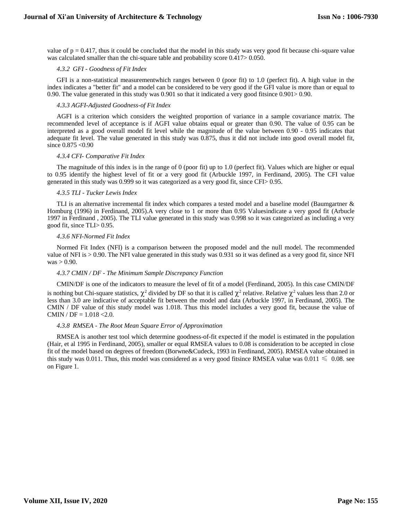value of  $p = 0.417$ , thus it could be concluded that the model in this study was very good fit because chi-square value was calculated smaller than the chi-square table and probability score  $0.417 > 0.050$ .

# *4.3.2 GFI - Goodness of Fit Index*

GFI is a non-statistical measurementwhich ranges between 0 (poor fit) to 1.0 (perfect fit). A high value in the index indicates a "better fit" and a model can be considered to be very good if the GFI value is more than or equal to 0.90. The value generated in this study was 0.901 so that it indicated a very good fitsince 0.901> 0.90.

# *4.3.3 AGFI-Adjusted Goodness-of Fit Index*

AGFI is a criterion which considers the weighted proportion of variance in a sample covariance matrix. The recommended level of acceptance is if AGFI value obtains equal or greater than 0.90. The value of 0.95 can be interpreted as a good overall model fit level while the magnitude of the value between 0.90 - 0.95 indicates that adequate fit level. The value generated in this study was 0.875, thus it did not include into good overall model fit, since  $0.875 < 0.90$ 

# *4.3.4 CFI- Comparative Fit Index*

The magnitude of this index is in the range of 0 (poor fit) up to 1.0 (perfect fit). Values which are higher or equal to 0.95 identify the highest level of fit or a very good fit (Arbuckle 1997, in Ferdinand, 2005). The CFI value generated in this study was 0.999 so it was categorized as a very good fit, since CFI> 0.95.

# *4.3.5 TLI - Tucker Lewis Index*

TLI is an alternative incremental fit index which compares a tested model and a baseline model (Baumgartner & Homburg (1996) in Ferdinand, 2005).A very close to 1 or more than 0.95 Valuesindicate a very good fit (Arbucle 1997 in Ferdinand , 2005). The TLI value generated in this study was 0.998 so it was categorized as including a very good fit, since TLI> 0.95.

# *4.3.6 NFI-Normed Fit Index*

Normed Fit Index (NFI) is a comparison between the proposed model and the null model. The recommended value of NFI is > 0.90. The NFI value generated in this study was 0.931 so it was defined as a very good fit, since NFI  $was > 0.90$ .

# *4.3.7 CMIN / DF - The Minimum Sample Discrepancy Function*

CMIN/DF is one of the indicators to measure the level of fit of a model (Ferdinand, 2005). In this case CMIN/DF is nothing but Chi-square statistics,  $\chi^2$  divided by DF so that it is called  $\chi^2$  relative. Relative  $\chi^2$  values less than 2.0 or less than 3.0 are indicative of acceptable fit between the model and data (Arbuckle 1997, in Ferdinand, 2005). The CMIN / DF value of this study model was 1.018. Thus this model includes a very good fit, because the value of CMIN /  $DF = 1.018 < 2.0$ .

#### *4.3.8 RMSEA - The Root Mean Square Error of Approximation*

RMSEA is another test tool which determine goodness-of-fit expected if the model is estimated in the population (Hair, et al 1995 in Ferdinand, 2005), smaller or equal RMSEA values to 0.08 is consideration to be accepted in close fit of the model based on degrees of freedom (Borwne&Cudeck, 1993 in Ferdinand, 2005). RMSEA value obtained in this study was 0.011. Thus, this model was considered as a very good fitsince RMSEA value was  $0.011 \leq 0.08$ . see on Figure 1.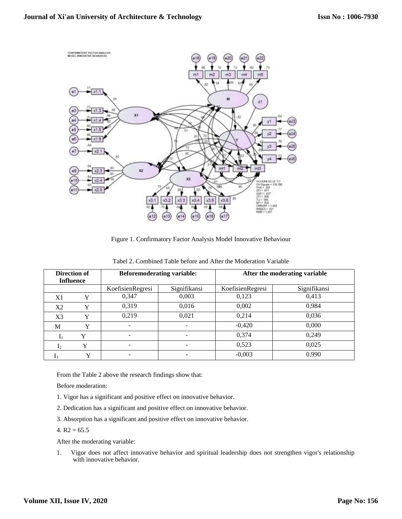

Figure 1. Confirmatory Factor Analysis Model Innovative Behaviour

| <b>Direction of</b> |             | <b>Beforemoderating variable:</b> |              | After the moderating variable |              |
|---------------------|-------------|-----------------------------------|--------------|-------------------------------|--------------|
| <b>Influence</b>    |             |                                   |              |                               |              |
|                     |             | KoefisienRegresi                  | Signifikansi | KoefisienRegresi              | Signifikansi |
| X1                  | Y           | 0,347                             | 0,003        | 0,123                         | 0,413        |
| X2                  | Y           | 0.319                             | 0,016        | 0,002                         | 0.984        |
| X <sub>3</sub>      | Y           | 0,219                             | 0,021        | 0,214                         | 0,036        |
| M                   | Y           |                                   |              | $-0,420$                      | 0,000        |
| $\mathbf{I}_1$      |             | ۰                                 | -            | 0,374                         | 0.249        |
| 1 <sub>2</sub>      |             |                                   |              | 0,523                         | 0,025        |
| $I_3$               | $\mathbf v$ | -                                 |              | $-0,003$                      | 0,990        |

Tabel 2. Combined Table before and After the Moderation Variable

From the Table 2 above the research findings show that:

Before moderation:

- 1. Vigor has a significant and positive effect on innovative behavior.
- 2. Dedication has a significant and positive effect on innovative behavior.
- 3. Absorption has a significant and positive effect on innovative behavior.
- 4.  $R2 = 65.5$

After the moderating variable:

1. Vigor does not affect innovative behavior and spiritual leadership does not strengthen vigor's relationship with innovative behavior.